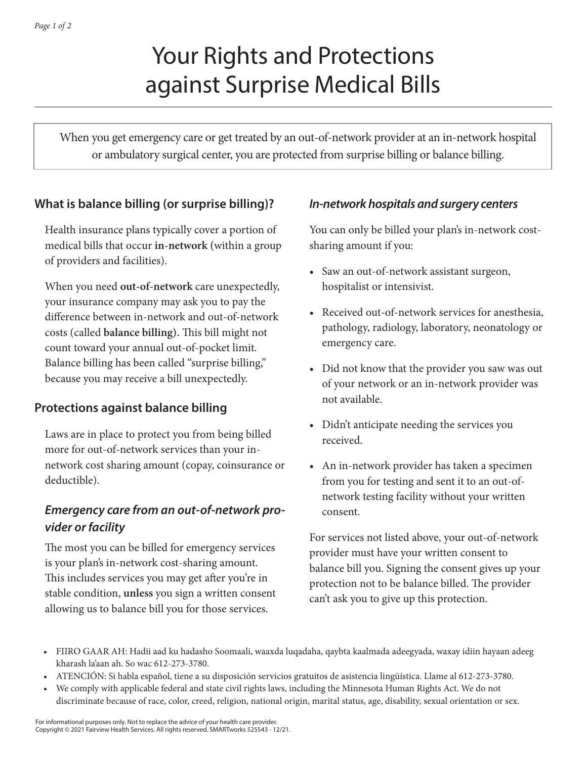# Your Rights and Protections against Surprise Medical Bills

When you get emergency care or get treated by an out-of-network provider at an in-network hospital or ambulatory surgical center, you are protected from surprise billing or balance billing.

#### **What is balance billing (or surprise billing)?**

Health insurance plans typically cover a portion of medical bills that occur **in-network (**within a group of providers and facilities).

When you need **out-of-network** care unexpectedly, your insurance company may ask you to pay the difference between in-network and out-of-network costs (called **balance billing).** This bill might not count toward your annual out-of-pocket limit. Balance billing has been called "surprise billing," because you may receive a bill unexpectedly.

#### **Protections against balance billing**

Laws are in place to protect you from being billed more for out-of-network services than your innetwork cost sharing amount (copay, coinsurance or deductible).

## *Emergency care from an out-of-network provider or facility*

The most you can be billed for emergency services is your plan's in-network cost-sharing amount. This includes services you may get after you're in stable condition, **unless** you sign a written consent allowing us to balance bill you for those services.

#### *In-network hospitals and surgery centers*

You can only be billed your plan's in-network costsharing amount if you:

- Saw an out-of-network assistant surgeon, hospitalist or intensivist.
- Received out-of-network services for anesthesia, pathology, radiology, laboratory, neonatology or emergency care.
- Did not know that the provider you saw was out of your network or an in-network provider was not available.
- Didn't anticipate needing the services you received.
- An in-network provider has taken a specimen from you for testing and sent it to an out-ofnetwork testing facility without your written consent.

For services not listed above, your out-of-network provider must have your written consent to balance bill you. Signing the consent gives up your protection not to be balance billed. The provider can't ask you to give up this protection.

- FIIRO GAAR AH: Hadii aad ku hadasho Soomaali, waaxda luqadaha, qaybta kaalmada adeegyada, waxay idiin hayaan adeeg kharash la'aan ah. So wac 612-273-3780.
- ATENCIÓN: Si habla español, tiene a su disposición servicios gratuitos de asistencia lingüística. Llame al 612-273-3780.
- We comply with applicable federal and state civil rights laws, including the Minnesota Human Rights Act. We do not
- discriminate because of race, color, creed, religion, national origin, marital status, age, disability, sexual orientation or sex.